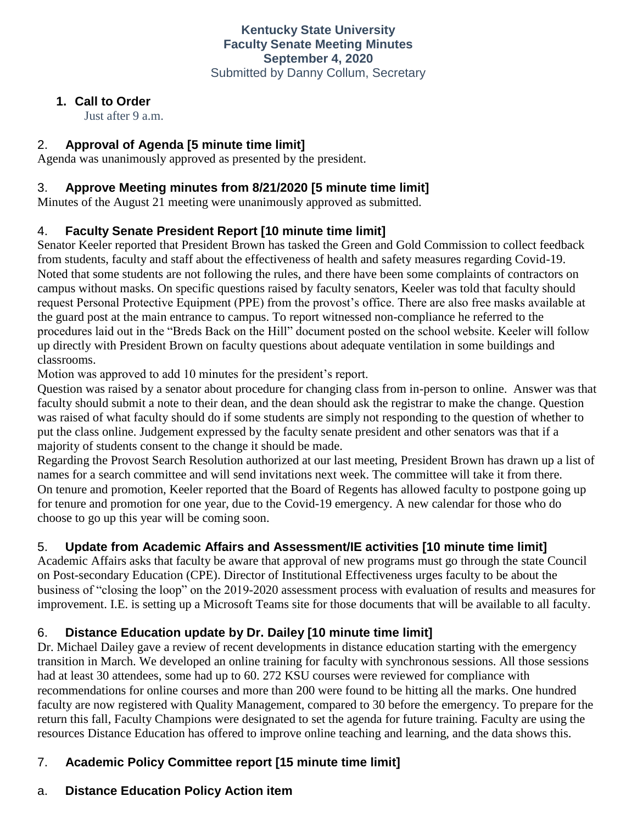### **1. Call to Order**

Just after 9 a.m.

## 2. **Approval of Agenda [5 minute time limit]**

Agenda was unanimously approved as presented by the president.

## 3. **Approve Meeting minutes from 8/21/2020 [5 minute time limit]**

Minutes of the August 21 meeting were unanimously approved as submitted.

## 4. **Faculty Senate President Report [10 minute time limit]**

Senator Keeler reported that President Brown has tasked the Green and Gold Commission to collect feedback from students, faculty and staff about the effectiveness of health and safety measures regarding Covid-19. Noted that some students are not following the rules, and there have been some complaints of contractors on campus without masks. On specific questions raised by faculty senators, Keeler was told that faculty should request Personal Protective Equipment (PPE) from the provost's office. There are also free masks available at the guard post at the main entrance to campus. To report witnessed non-compliance he referred to the procedures laid out in the "Breds Back on the Hill" document posted on the school website. Keeler will follow up directly with President Brown on faculty questions about adequate ventilation in some buildings and classrooms.

Motion was approved to add 10 minutes for the president's report.

Question was raised by a senator about procedure for changing class from in-person to online. Answer was that faculty should submit a note to their dean, and the dean should ask the registrar to make the change. Question was raised of what faculty should do if some students are simply not responding to the question of whether to put the class online. Judgement expressed by the faculty senate president and other senators was that if a majority of students consent to the change it should be made.

Regarding the Provost Search Resolution authorized at our last meeting, President Brown has drawn up a list of names for a search committee and will send invitations next week. The committee will take it from there. On tenure and promotion, Keeler reported that the Board of Regents has allowed faculty to postpone going up for tenure and promotion for one year, due to the Covid-19 emergency. A new calendar for those who do choose to go up this year will be coming soon.

# 5. **Update from Academic Affairs and Assessment/IE activities [10 minute time limit]**

Academic Affairs asks that faculty be aware that approval of new programs must go through the state Council on Post-secondary Education (CPE). Director of Institutional Effectiveness urges faculty to be about the business of "closing the loop" on the 2019-2020 assessment process with evaluation of results and measures for improvement. I.E. is setting up a Microsoft Teams site for those documents that will be available to all faculty.

# 6. **Distance Education update by Dr. Dailey [10 minute time limit]**

Dr. Michael Dailey gave a review of recent developments in distance education starting with the emergency transition in March. We developed an online training for faculty with synchronous sessions. All those sessions had at least 30 attendees, some had up to 60. 272 KSU courses were reviewed for compliance with recommendations for online courses and more than 200 were found to be hitting all the marks. One hundred faculty are now registered with Quality Management, compared to 30 before the emergency. To prepare for the return this fall, Faculty Champions were designated to set the agenda for future training. Faculty are using the resources Distance Education has offered to improve online teaching and learning, and the data shows this.

# 7. **Academic Policy Committee report [15 minute time limit]**

### a. **Distance Education Policy Action item**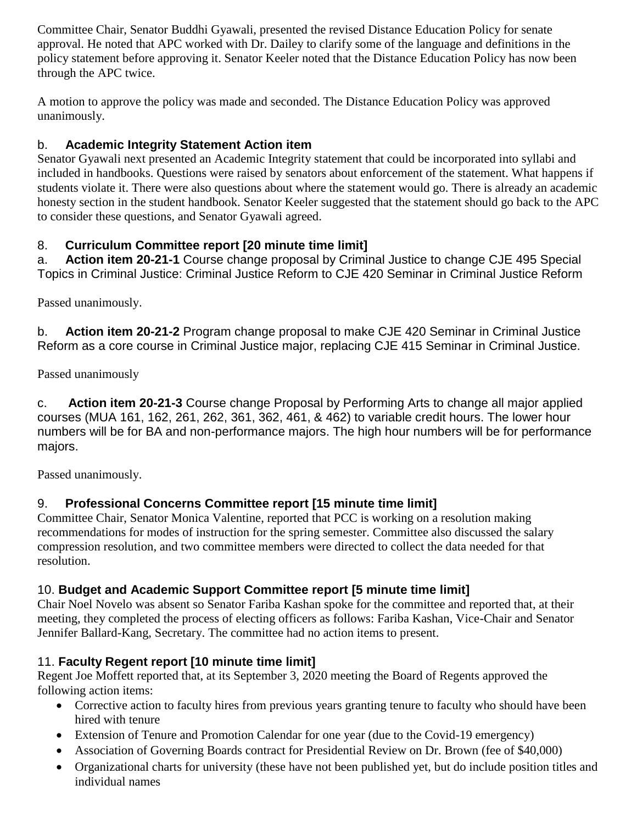Committee Chair, Senator Buddhi Gyawali, presented the revised Distance Education Policy for senate approval. He noted that APC worked with Dr. Dailey to clarify some of the language and definitions in the policy statement before approving it. Senator Keeler noted that the Distance Education Policy has now been through the APC twice.

A motion to approve the policy was made and seconded. The Distance Education Policy was approved unanimously.

## b. **Academic Integrity Statement Action item**

Senator Gyawali next presented an Academic Integrity statement that could be incorporated into syllabi and included in handbooks. Questions were raised by senators about enforcement of the statement. What happens if students violate it. There were also questions about where the statement would go. There is already an academic honesty section in the student handbook. Senator Keeler suggested that the statement should go back to the APC to consider these questions, and Senator Gyawali agreed.

### 8. **Curriculum Committee report [20 minute time limit]**

a. **Action item 20-21-1** Course change proposal by Criminal Justice to change CJE 495 Special Topics in Criminal Justice: Criminal Justice Reform to CJE 420 Seminar in Criminal Justice Reform

Passed unanimously.

b. **Action item 20-21-2** Program change proposal to make CJE 420 Seminar in Criminal Justice Reform as a core course in Criminal Justice major, replacing CJE 415 Seminar in Criminal Justice.

Passed unanimously

c. **Action item 20-21-3** Course change Proposal by Performing Arts to change all major applied courses (MUA 161, 162, 261, 262, 361, 362, 461, & 462) to variable credit hours. The lower hour numbers will be for BA and non-performance majors. The high hour numbers will be for performance majors.

Passed unanimously.

### 9. **Professional Concerns Committee report [15 minute time limit]**

Committee Chair, Senator Monica Valentine, reported that PCC is working on a resolution making recommendations for modes of instruction for the spring semester. Committee also discussed the salary compression resolution, and two committee members were directed to collect the data needed for that resolution.

### 10. **Budget and Academic Support Committee report [5 minute time limit]**

Chair Noel Novelo was absent so Senator Fariba Kashan spoke for the committee and reported that, at their meeting, they completed the process of electing officers as follows: Fariba Kashan, Vice-Chair and Senator Jennifer Ballard-Kang, Secretary. The committee had no action items to present.

### 11. **Faculty Regent report [10 minute time limit]**

Regent Joe Moffett reported that, at its September 3, 2020 meeting the Board of Regents approved the following action items:

- Corrective action to faculty hires from previous years granting tenure to faculty who should have been hired with tenure
- Extension of Tenure and Promotion Calendar for one year (due to the Covid-19 emergency)
- Association of Governing Boards contract for Presidential Review on Dr. Brown (fee of \$40,000)
- Organizational charts for university (these have not been published yet, but do include position titles and individual names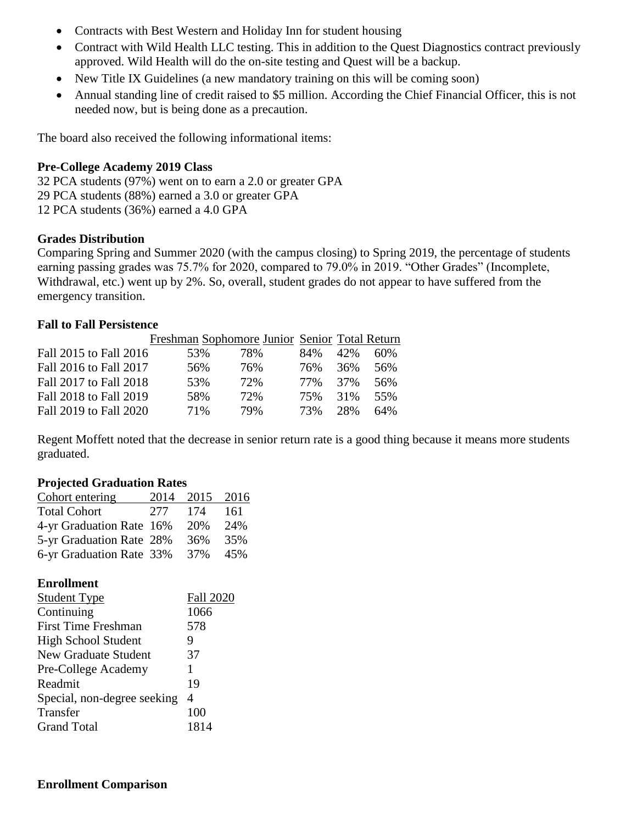- Contracts with Best Western and Holiday Inn for student housing
- Contract with Wild Health LLC testing. This in addition to the Quest Diagnostics contract previously approved. Wild Health will do the on-site testing and Quest will be a backup.
- New Title IX Guidelines (a new mandatory training on this will be coming soon)
- Annual standing line of credit raised to \$5 million. According the Chief Financial Officer, this is not needed now, but is being done as a precaution.

The board also received the following informational items:

#### **Pre-College Academy 2019 Class**

32 PCA students (97%) went on to earn a 2.0 or greater GPA 29 PCA students (88%) earned a 3.0 or greater GPA 12 PCA students (36%) earned a 4.0 GPA

#### **Grades Distribution**

Comparing Spring and Summer 2020 (with the campus closing) to Spring 2019, the percentage of students earning passing grades was 75.7% for 2020, compared to 79.0% in 2019. "Other Grades" (Incomplete, Withdrawal, etc.) went up by 2%. So, overall, student grades do not appear to have suffered from the emergency transition.

#### **Fall to Fall Persistence**

| 53% | 78%                                                                                                                            | 84% | 42% | 60%                                           |
|-----|--------------------------------------------------------------------------------------------------------------------------------|-----|-----|-----------------------------------------------|
| 56% | 76%                                                                                                                            | 76% | 36% | 56%                                           |
| 53% | 72%                                                                                                                            | 77% | 37% | 56%                                           |
| 58% | 72%                                                                                                                            | 75% | 31% | 55%                                           |
| 71% | 79%                                                                                                                            | 73% | 28% | 64%                                           |
|     | Fall 2015 to Fall 2016<br>Fall 2016 to Fall 2017<br>Fall 2017 to Fall 2018<br>Fall 2018 to Fall 2019<br>Fall 2019 to Fall 2020 |     |     | Freshman Sophomore Junior Senior Total Return |

Regent Moffett noted that the decrease in senior return rate is a good thing because it means more students graduated.

#### **Projected Graduation Rates**

**Enrollment** 

| Cohort entering          |      | 2014 2015 2016 |     |
|--------------------------|------|----------------|-----|
| <b>Total Cohort</b>      | 2.77 | 174            | 161 |
| 4-yr Graduation Rate 16% |      | 20%            | 24% |
| 5-yr Graduation Rate 28% |      | 36%            | 35% |
| 6-yr Graduation Rate 33% |      | 37%            | 45% |
|                          |      |                |     |

| епгоппени                   |                  |
|-----------------------------|------------------|
| <b>Student Type</b>         | <b>Fall 2020</b> |
| Continuing                  | 1066             |
| <b>First Time Freshman</b>  | 578              |
| <b>High School Student</b>  | 9                |
| New Graduate Student        | 37               |
| Pre-College Academy         | 1                |
| Readmit                     | 19               |
| Special, non-degree seeking | 4                |
| Transfer                    | 100              |
| <b>Grand Total</b>          | 1814             |
|                             |                  |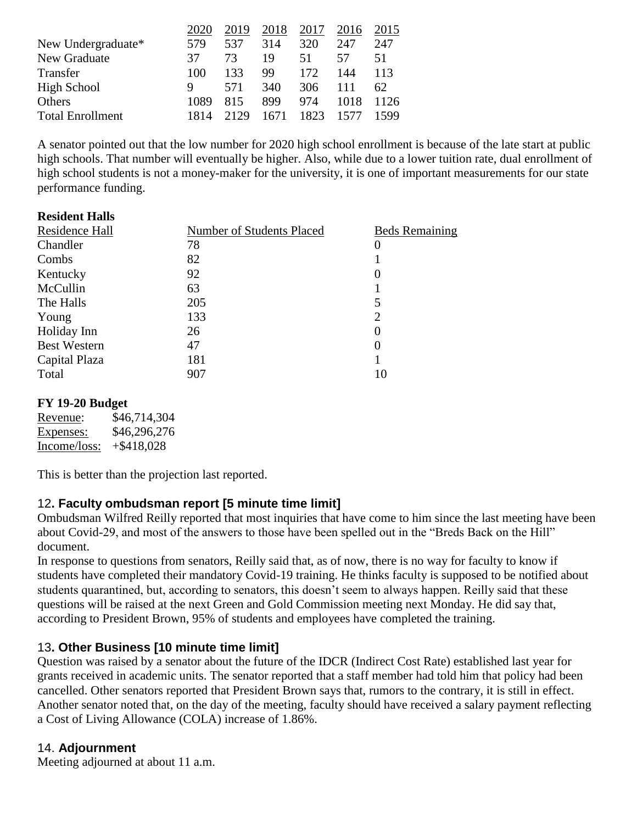| 247  |
|------|
| 51   |
| 113  |
| 62.  |
| 1126 |
| 1599 |
|      |

A senator pointed out that the low number for 2020 high school enrollment is because of the late start at public high schools. That number will eventually be higher. Also, while due to a lower tuition rate, dual enrollment of high school students is not a money-maker for the university, it is one of important measurements for our state performance funding.

#### **Resident Halls**

| Residence Hall      | <b>Number of Students Placed</b> | <b>Beds Remaining</b> |
|---------------------|----------------------------------|-----------------------|
| Chandler            | 78                               | O                     |
| Combs               | 82                               |                       |
| Kentucky            | 92                               | O                     |
| McCullin            | 63                               |                       |
| The Halls           | 205                              | 5                     |
| Young               | 133                              | 2                     |
| Holiday Inn         | 26                               | $\theta$              |
| <b>Best Western</b> | 47                               | $\theta$              |
| Capital Plaza       | 181                              |                       |
| Total               | 907                              | 10                    |

#### **FY 19-20 Budget**

Revenue: \$46,714,304 Expenses: \$46,296,276 Income/loss: +\$418,028

This is better than the projection last reported.

### 12**. Faculty ombudsman report [5 minute time limit]**

Ombudsman Wilfred Reilly reported that most inquiries that have come to him since the last meeting have been about Covid-29, and most of the answers to those have been spelled out in the "Breds Back on the Hill" document.

In response to questions from senators, Reilly said that, as of now, there is no way for faculty to know if students have completed their mandatory Covid-19 training. He thinks faculty is supposed to be notified about students quarantined, but, according to senators, this doesn't seem to always happen. Reilly said that these questions will be raised at the next Green and Gold Commission meeting next Monday. He did say that, according to President Brown, 95% of students and employees have completed the training.

### 13**. Other Business [10 minute time limit]**

Question was raised by a senator about the future of the IDCR (Indirect Cost Rate) established last year for grants received in academic units. The senator reported that a staff member had told him that policy had been cancelled. Other senators reported that President Brown says that, rumors to the contrary, it is still in effect. Another senator noted that, on the day of the meeting, faculty should have received a salary payment reflecting a Cost of Living Allowance (COLA) increase of 1.86%.

### 14. **Adjournment**

Meeting adjourned at about 11 a.m.